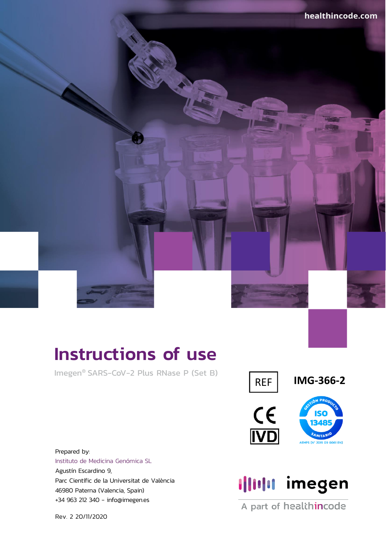# Instructions of use

Imegen® SARS-CoV-2 Plus RNase P (Set B)



REF **IMG-366-2**





Prepared by: Instituto de Medicina Genómica SL Agustín Escardino 9, Parc Científic de la Universitat de València 46980 Paterna (Valencia, Spain) +34 963 212 340 - info@imegen.es

Illulu imegen

A part of healthincode

Rev. 2 20/11/2020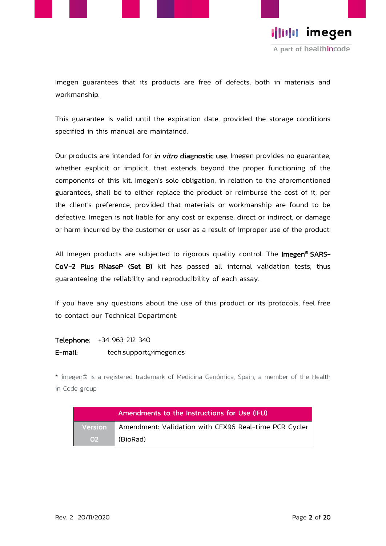

Illilli imegen A part of healthincode

Imegen guarantees that its products are free of defects, both in materials and workmanship.

This guarantee is valid until the expiration date, provided the storage conditions specified in this manual are maintained.

Our products are intended for *in vitro* diagnostic use. Imegen provides no guarantee, whether explicit or implicit, that extends beyond the proper functioning of the components of this kit. Imegen's sole obligation, in relation to the aforementioned guarantees, shall be to either replace the product or reimburse the cost of it, per the client's preference, provided that materials or workmanship are found to be defective. Imegen is not liable for any cost or expense, direct or indirect, or damage or harm incurred by the customer or user as a result of improper use of the product.

All Imegen products are subjected to rigorous quality control. The Imegen<sup>®</sup> SARS-CoV-2 Plus RNaseP (Set B) kit has passed all internal validation tests, thus guaranteeing the reliability and reproducibility of each assay.

If you have any questions about the use of this product or its protocols, feel free to contact our Technical Department:

Telephone: +34 963 212 340

E-mail: tech.support@imegen.es

\* imegen® is a registered trademark of Medicina Genómica, Spain, a member of the Health in Code group

| Amendments to the Instructions for Use (IFU) |                                                                 |  |  |  |
|----------------------------------------------|-----------------------------------------------------------------|--|--|--|
|                                              | Version   Amendment: Validation with CFX96 Real-time PCR Cycler |  |  |  |
| O <sub>2</sub>                               | (BioRad)                                                        |  |  |  |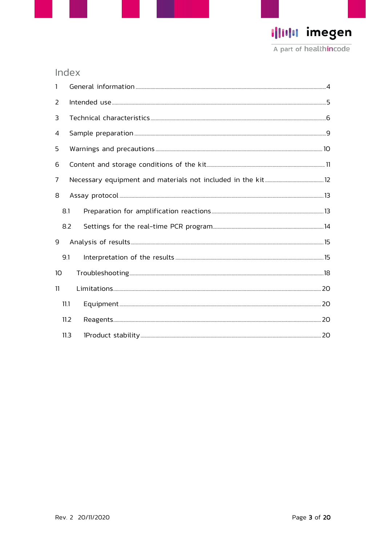I|IIIII imegen A part of healthincode

## Index

| $\mathbf{1}$    |      |  |  |  |  |  |
|-----------------|------|--|--|--|--|--|
| 2               |      |  |  |  |  |  |
| 3               |      |  |  |  |  |  |
| 4               |      |  |  |  |  |  |
| 5               |      |  |  |  |  |  |
| 6               |      |  |  |  |  |  |
| 7               |      |  |  |  |  |  |
| 8               |      |  |  |  |  |  |
| 8.1             |      |  |  |  |  |  |
|                 | 8.2  |  |  |  |  |  |
| 9               |      |  |  |  |  |  |
| 9.1             |      |  |  |  |  |  |
| 10 <sup>°</sup> |      |  |  |  |  |  |
| 11              |      |  |  |  |  |  |
|                 | 11.1 |  |  |  |  |  |
|                 | 11.2 |  |  |  |  |  |
|                 | 11.3 |  |  |  |  |  |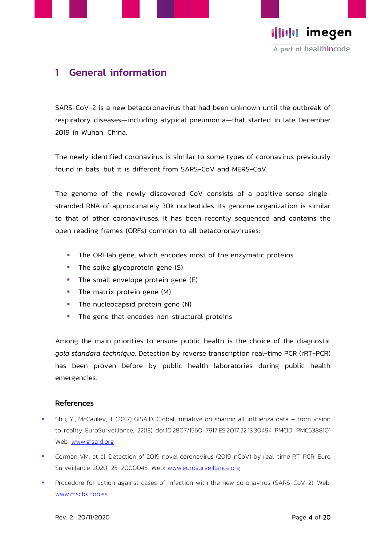



## <span id="page-3-0"></span>1 General information

SARS-CoV-2 is a new betacoronavirus that had been unknown until the outbreak of respiratory diseases—including atypical pneumonia—that started in late December 2019 in Wuhan, China.

The newly identified coronavirus is similar to some types of coronavirus previously found in bats, but it is different from SARS-CoV and MERS-CoV.

The genome of the newly discovered CoV consists of a positive-sense singlestranded RNA of approximately 30k nucleotides. Its genome organization is similar to that of other coronaviruses. It has been recently sequenced and contains the open reading frames (ORFs) common to all betacoronaviruses:

- **.** The ORF1ab gene, which encodes most of the enzymatic proteins
- **·** The spike glycoprotein gene (S)
- **·** The small envelope protein gene (E)
- **•** The matrix protein gene (M)
- **·** The nucleocapsid protein gene (N)
- **·** The gene that encodes non-structural proteins

Among the main priorities to ensure public health is the choice of the diagnostic *gold standard technique*. Detection by reverse transcription real-time PCR (rRT-PCR) has been proven before by public health laboratories during public health emergencies.

#### References

- **•** Shu, Y., McCauley, J. (2017) GISAID: Global initiative on sharing all influenza data from vision to reality EuroSurveillance, 22(13) doi:10.2807/1560-7917.ES.2017.22.13.30494 PMCID: PMC5388101 Web: [www.gisaid.org](http://www.gisaid.org/)
- Corman VM, et al. Detection of 2019 novel coronavirus (2019-nCoV) by real-time RT-PCR. Euro Surveillance 2020; 25: 2000045. Web: [www.eurosurveillance.org](http://www.eurosurveillance.org/)
- Procedure for action against cases of infection with the new coronavirus (SARS-CoV-2). Web: [www.mscbs.gob.es](http://www.mscbs.gob.es/)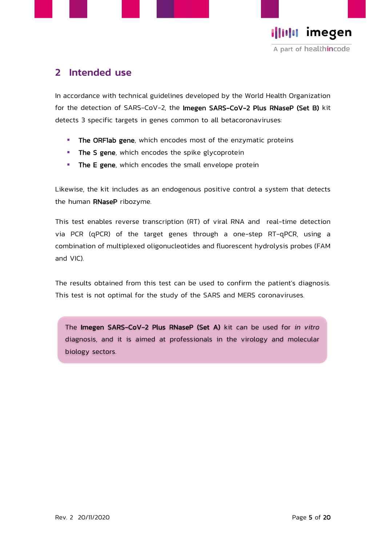



## <span id="page-4-0"></span>2 Intended use

In accordance with technical guidelines developed by the World Health Organization for the detection of SARS-CoV-2, the Imegen SARS-CoV-2 Plus RNaseP (Set B) kit detects 3 specific targets in genes common to all betacoronaviruses:

- **. The ORF1ab gene**, which encodes most of the enzymatic proteins
- **· The S gene**, which encodes the spike glycoprotein
- **· The E gene**, which encodes the small envelope protein

Likewise, the kit includes as an endogenous positive control a system that detects the human RNaseP ribozyme.

This test enables reverse transcription (RT) of viral RNA and real-time detection via PCR (qPCR) of the target genes through a one-step RT-qPCR, using a combination of multiplexed oligonucleotides and fluorescent hydrolysis probes (FAM and VIC).

The results obtained from this test can be used to confirm the patient's diagnosis. This test is not optimal for the study of the SARS and MERS coronaviruses.

The Imegen SARS-CoV-2 Plus RNaseP (Set A) kit can be used for *in vitro* diagnosis, and it is aimed at professionals in the virology and molecular biology sectors.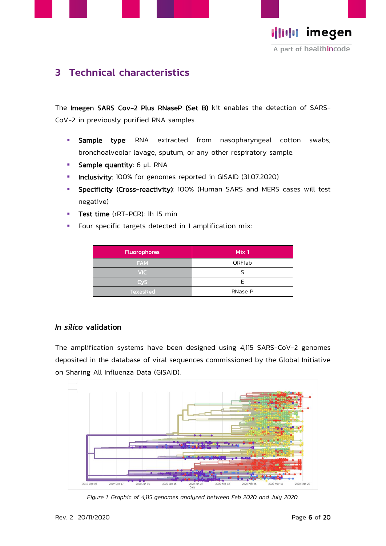



## <span id="page-5-0"></span>3 Technical characteristics

The Imegen SARS Cov-2 Plus RNaseP (Set B) kit enables the detection of SARS-CoV-2 in previously purified RNA samples.

- **E** Sample type: RNA extracted from nasopharyngeal cotton swabs, bronchoalveolar lavage, sputum, or any other respiratory sample.
- **E** Sample quantity: 6 µL RNA
- **· Inclusivity**: 100% for genomes reported in GISAID (31.07.2020)
- **EXPECTE:** Specificity (Cross-reactivity): 100% (Human SARS and MERS cases will test negative)
- **Test time** (rRT-PCR): 1h 15 min
- Four specific targets detected in 1 amplification mix:

| <b>Fluorophores</b> | Mix 1         |
|---------------------|---------------|
| <b>FAM</b>          | <b>ORF1ab</b> |
| <b>VIC</b>          |               |
| Cv5                 | F             |
| TexasRed            | RNase P       |

#### *In silico* validation

The amplification systems have been designed using 4,115 SARS-CoV-2 genomes deposited in the database of viral sequences commissioned by the Global Initiative on Sharing All Influenza Data (GISAID).



*Figure 1. Graphic of 4,115 genomes analyzed between Feb 2020 and July 2020.*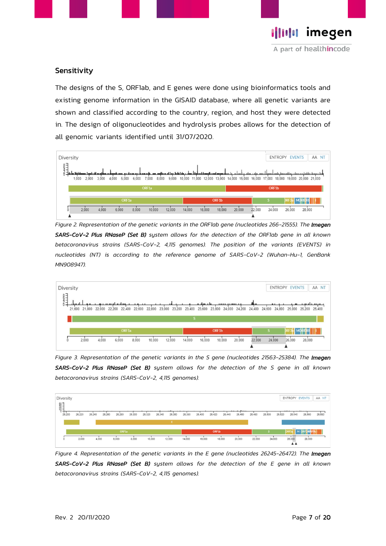

#### Sensitivity

The designs of the S, ORF1ab, and E genes were done using bioinformatics tools and existing genome information in the GISAID database, where all genetic variants are shown and classified according to the country, region, and host they were detected in. The design of oligonucleotides and hydrolysis probes allows for the detection of all genomic variants identified until 31/07/2020.



*Figure 2. Representation of the genetic variants in the ORF1ab gene (nucleotides 266-21555). The Imegen SARS-CoV-2 Plus RNaseP (Set B) system allows for the detection of the ORF1ab gene in all known betacoronavirus strains (SARS-CoV-2, 4,115 genomes). The position of the variants (EVENTS) in nucleotides (NT) is according to the reference genome of SARS-CoV-2 (Wuhan-Hu-1, GenBank MN908947).*



*Figure 3. Representation of the genetic variants in the S gene (nucleotides 21563-25384). The Imegen SARS-CoV-2 Plus RNaseP (Set B) system allows for the detection of the S gene in all known betacoronavirus strains (SARS-CoV-2, 4,115 genomes).* 



*Figure 4. Representation of the genetic variants in the E gene (nucleotides 26245-26472). The Imegen SARS-CoV-2 Plus RNaseP (Set B) system allows for the detection of the E gene in all known betacoronavirus strains (SARS-CoV-2, 4,115 genomes).*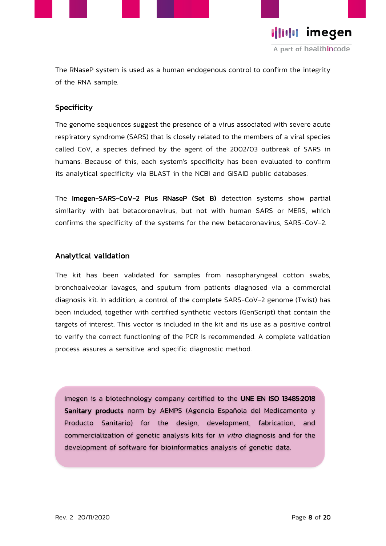

**Illulu** imegen A part of healthincode

The RNaseP system is used as a human endogenous control to confirm the integrity of the RNA sample.

#### **Specificity**

The genome sequences suggest the presence of a virus associated with severe acute respiratory syndrome (SARS) that is closely related to the members of a viral species called CoV, a species defined by the agent of the 2002/03 outbreak of SARS in humans. Because of this, each system's specificity has been evaluated to confirm its analytical specificity via BLAST in the NCBI and GISAID public databases.

The Imegen-SARS-CoV-2 Plus RNaseP (Set B) detection systems show partial similarity with bat betacoronavirus, but not with human SARS or MERS, which confirms the specificity of the systems for the new betacoronavirus, SARS-CoV-2.

#### Analytical validation

The kit has been validated for samples from nasopharyngeal cotton swabs, bronchoalveolar lavages, and sputum from patients diagnosed via a commercial diagnosis kit. In addition, a control of the complete SARS-CoV-2 genome (Twist) has been included, together with certified synthetic vectors (GenScript) that contain the targets of interest. This vector is included in the kit and its use as a positive control to verify the correct functioning of the PCR is recommended. A complete validation process assures a sensitive and specific diagnostic method.

Imegen is a biotechnology company certified to the UNE EN ISO 13485:2018 Sanitary products norm by AEMPS (Agencia Española del Medicamento y Producto Sanitario) for the design, development, fabrication, and commercialization of genetic analysis kits for *in vitro* diagnosis and for the development of software for bioinformatics analysis of genetic data.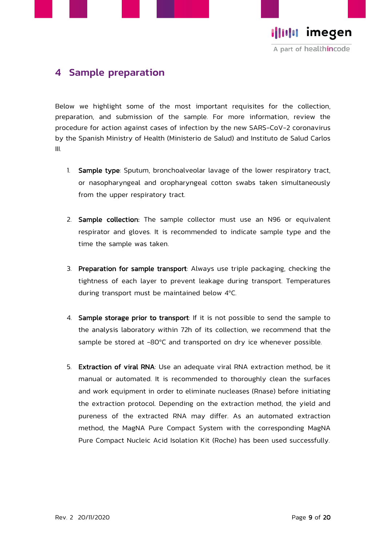



## <span id="page-8-0"></span>4 Sample preparation

Below we highlight some of the most important requisites for the collection, preparation, and submission of the sample. For more information, review the procedure for action against cases of infection by the new SARS-CoV-2 coronavirus by the Spanish Ministry of Health (Ministerio de Salud) and Instituto de Salud Carlos III.

- 1. Sample type: Sputum, bronchoalveolar lavage of the lower respiratory tract, or nasopharyngeal and oropharyngeal cotton swabs taken simultaneously from the upper respiratory tract.
- 2. Sample collection: The sample collector must use an N96 or equivalent respirator and gloves. It is recommended to indicate sample type and the time the sample was taken.
- 3. Preparation for sample transport: Always use triple packaging, checking the tightness of each layer to prevent leakage during transport. Temperatures during transport must be maintained below 4ºC.
- 4. Sample storage prior to transport: If it is not possible to send the sample to the analysis laboratory within 72h of its collection, we recommend that the sample be stored at -80ºC and transported on dry ice whenever possible.
- 5. Extraction of viral RNA: Use an adequate viral RNA extraction method, be it manual or automated. It is recommended to thoroughly clean the surfaces and work equipment in order to eliminate nucleases (Rnase) before initiating the extraction protocol. Depending on the extraction method, the yield and pureness of the extracted RNA may differ. As an automated extraction method, the MagNA Pure Compact System with the corresponding MagNA Pure Compact Nucleic Acid Isolation Kit (Roche) has been used successfully.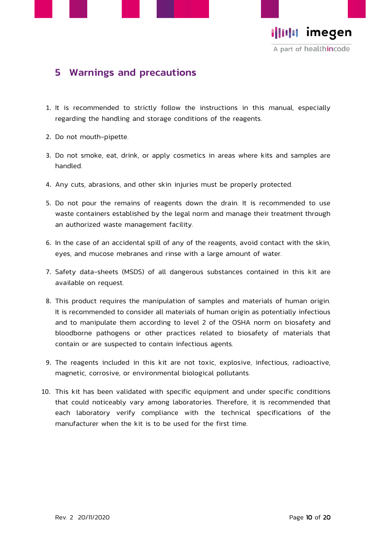



## <span id="page-9-0"></span>5 Warnings and precautions

- 1. It is recommended to strictly follow the instructions in this manual, especially regarding the handling and storage conditions of the reagents.
- 2. Do not mouth-pipette.
- 3. Do not smoke, eat, drink, or apply cosmetics in areas where kits and samples are handled.
- 4. Any cuts, abrasions, and other skin injuries must be properly protected.
- 5. Do not pour the remains of reagents down the drain. It is recommended to use waste containers established by the legal norm and manage their treatment through an authorized waste management facility.
- 6. In the case of an accidental spill of any of the reagents, avoid contact with the skin, eyes, and mucose mebranes and rinse with a large amount of water.
- 7. Safety data-sheets (MSDS) of all dangerous substances contained in this kit are available on request.
- 8. This product requires the manipulation of samples and materials of human origin. It is recommended to consider all materials of human origin as potentially infectious and to manipulate them according to level 2 of the OSHA norm on biosafety and bloodborne pathogens or other practices related to biosafety of materials that contain or are suspected to contain infectious agents.
- 9. The reagents included in this kit are not toxic, explosive, infectious, radioactive, magnetic, corrosive, or environmental biological pollutants.
- 10. This kit has been validated with specific equipment and under specific conditions that could noticeably vary among laboratories. Therefore, it is recommended that each laboratory verify compliance with the technical specifications of the manufacturer when the kit is to be used for the first time.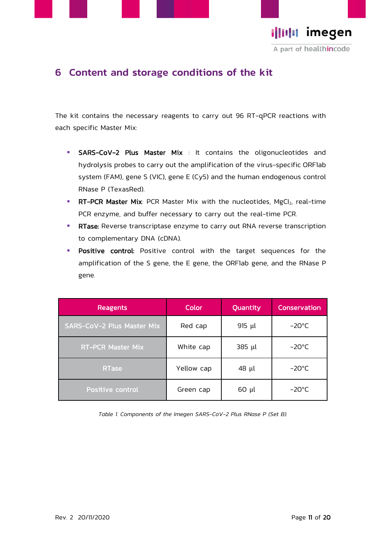



## <span id="page-10-0"></span>6 Content and storage conditions of the kit

The kit contains the necessary reagents to carry out 96 RT-qPCR reactions with each specific Master Mix:

- **E** SARS-CoV-2 Plus Master Mix : It contains the oligonucleotides and hydrolysis probes to carry out the amplification of the virus-specific ORF1ab system (FAM), gene S (VIC), gene E (Cy5) and the human endogenous control RNase P (TexasRed).
- **RT-PCR Master Mix:** PCR Master Mix with the nucleotides, MgCI<sub>2</sub>, real-time PCR enzyme, and buffer necessary to carry out the real-time PCR.
- **RTase:** Reverse transcriptase enzyme to carry out RNA reverse transcription to complementary DNA (cDNA).
- **· Positive control:** Positive control with the target sequences for the amplification of the S gene, the E gene, the ORF1ab gene, and the RNase P gene.

| <b>Reagents</b>                   | Color      | Quantity    | <b>Conservation</b> |
|-----------------------------------|------------|-------------|---------------------|
| <b>SARS-CoV-2 Plus Master Mix</b> | Red cap    | 915 $\mu$ l | $-20^{\circ}$ C     |
| <b>RT-PCR Master Mix</b>          | White cap  | 385 µl      | $-20^{\circ}$ C     |
| RTase                             | Yellow cap | 48 µl       | $-20^{\circ}$ C     |
| Positive control                  | Green cap  | $60 \mu l$  | $-20^{\circ}$ C     |

*Table 1. Components of the Imegen SARS-CoV-2 Plus RNase P (Set B).*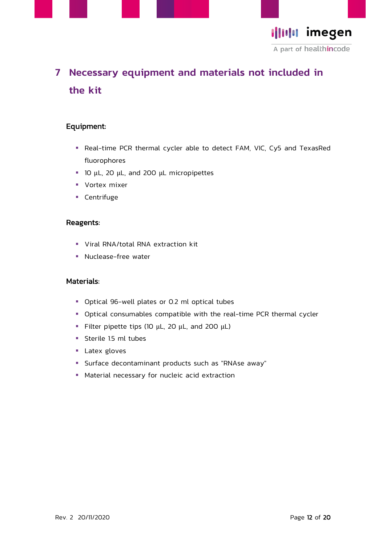



## <span id="page-11-0"></span>7 Necessary equipment and materials not included in the kit

#### Equipment:

- Real-time PCR thermal cycler able to detect FAM, VIC, Cy5 and TexasRed fluorophores
- 10 µL, 20 µL, and 200 µL micropipettes
- Vortex mixer
- Centrifuge

#### Reagents:

- Viral RNA/total RNA extraction kit
- Nuclease-free water

#### Materials:

- Optical 96-well plates or 0.2 ml optical tubes
- Optical consumables compatible with the real-time PCR thermal cycler
- **Filter pipette tips (10**  $\mu$ **L, 20**  $\mu$ **L, and 200**  $\mu$ **L)**
- Sterile 1.5 ml tubes
- Latex gloves
- Surface decontaminant products such as "RNAse away"
- Material necessary for nucleic acid extraction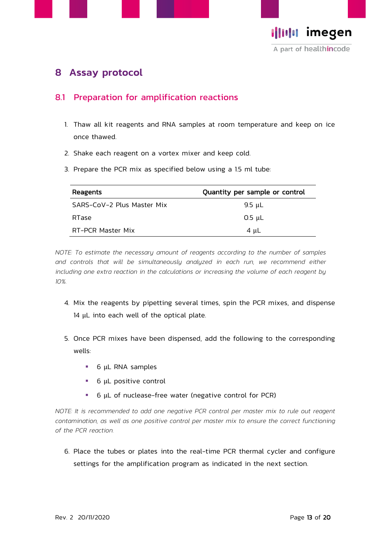



## <span id="page-12-0"></span>8 Assay protocol

### <span id="page-12-1"></span>8.1 Preparation for amplification reactions

- 1. Thaw all kit reagents and RNA samples at room temperature and keep on ice once thawed.
- 2. Shake each reagent on a vortex mixer and keep cold.
- 3. Prepare the PCR mix as specified below using a 1.5 ml tube:

| Reagents                   | Quantity per sample or control |
|----------------------------|--------------------------------|
| SARS-CoV-2 Plus Master Mix | 9.5 $\mu$ L                    |
| RTase                      | $0.5 \mu L$                    |
| RT-PCR Master Mix          | 4 $\mu$ L                      |

*NOTE: To estimate the necessary amount of reagents according to the number of samples*  and controls that will be simultaneously analyzed in each run, we recommend either including one extra reaction in the calculations or increasing the volume of each reagent by *10%.*

- 4. Mix the reagents by pipetting several times, spin the PCR mixes, and dispense 14 µL into each well of the optical plate.
- 5. Once PCR mixes have been dispensed, add the following to the corresponding wells:
	- 6 µL RNA samples
	- 6 µL positive control
	- 6 µL of nuclease-free water (negative control for PCR)

*NOTE: It is recommended to add one negative PCR control per master mix to rule out reagent contamination, as well as one positive control per master mix to ensure the correct functioning of the PCR reaction.*

6. Place the tubes or plates into the real-time PCR thermal cycler and configure settings for the amplification program as indicated in the next section.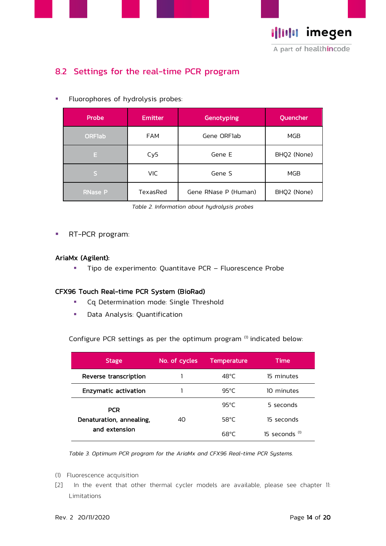



## <span id="page-13-0"></span>8.2 Settings for the real-time PCR program

**·** Fluorophores of hydrolysis probes:

| Probe          | <b>Emitter</b>  | Genotyping           | Quencher    |
|----------------|-----------------|----------------------|-------------|
| <b>ORFlab</b>  | <b>FAM</b>      | Gene ORFlab          | MGB         |
| E.             | Cy <sub>5</sub> | Gene E               | BHQ2 (None) |
| IS,            | <b>VIC</b>      | Gene S               | MGB         |
| <b>RNase P</b> | TexasRed        | Gene RNase P (Human) | BHQ2 (None) |

*Table 2. Information about hydrolysis probes*

**RT-PCR program:** 

#### AriaMx (Agilent):

**·** Tipo de experimento: Quantitave PCR - Fluorescence Probe

#### CFX96 Touch Real-time PCR System (BioRad)

- Cq Determination mode: Single Threshold
- Data Analysis: Quantification

Configure PCR settings as per the optimum program  $(1)$  indicated below:

| Stage                       | No. of cycles | <b>Temperature</b> | Time                    |
|-----------------------------|---------------|--------------------|-------------------------|
| Reverse transcription       |               | $48^{\circ}$ C     | 15 minutes              |
| <b>Enzymatic activation</b> |               | 95°C               | 10 minutes              |
| <b>PCR</b>                  |               | $95^{\circ}$ C     | 5 seconds               |
| Denaturation, annealing,    | 40            | $58^{\circ}$ C     | 15 seconds              |
| and extension               |               | 68°C               | 15 seconds $\mathbf{u}$ |

*Table 3. Optimum PCR program for the AriaMx and CFX96 Real-time PCR Systems.*

- (1) Fluorescence acquisition
- [2] In the event that other thermal cycler models are available, please see chapter 11: Limitations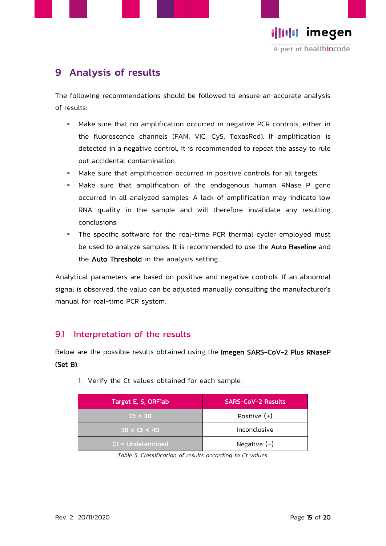

## <span id="page-14-0"></span>9 Analysis of results

The following recommendations should be followed to ensure an accurate analysis of results:

- Make sure that no amplification occurred in negative PCR controls, either in the fluorescence channels (FAM, VIC, Cy5, TexasRed). If amplification is detected in a negative control, it is recommended to repeat the assay to rule out accidental contamination.
- Make sure that amplification occurred in positive controls for all targets.
- **■** Make sure that amplification of the endogenous human RNase P gene occurred in all analyzed samples. A lack of amplification may indicate low RNA quality in the sample and will therefore invalidate any resulting conclusions.
- **•** The specific software for the real-time PCR thermal cycler employed must be used to analyze samples. It is recommended to use the Auto Baseline and the **Auto Threshold** in the analysis setting.

Analytical parameters are based on positive and negative controls. If an abnormal signal is observed, the value can be adjusted manually consulting the manufacturer's manual for real-time PCR system.

#### <span id="page-14-1"></span>9.1 Interpretation of the results

Below are the possible results obtained using the Imegen SARS-CoV-2 Plus RNaseP (Set B).

| Target E, S, ORF1ab | <b>SARS-CoV-2 Results</b> |
|---------------------|---------------------------|
| Ct < 38             | Positive $(+)$            |
| $38 \le Ct < 40$    | Inconclusive              |
| $Ct = Undetermined$ | Negative $(-)$            |

1. Verify the Ct values obtained for each sample.

*Table 5. Classification of results according to Ct values.*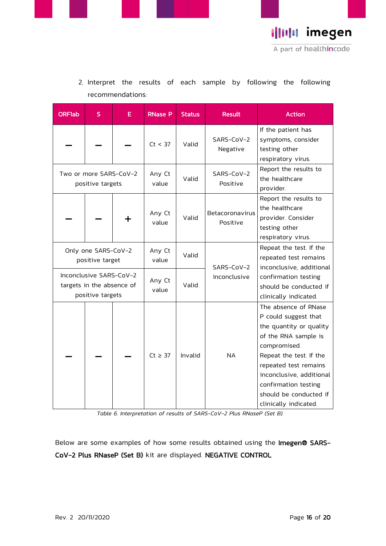

| <b>ORF1ab</b>                                                            | S | E.              | <b>RNase P</b>  | <b>Status</b>                                                           | <b>Result</b>                                        | <b>Action</b>                                                                                                                                                                                                                                                              |
|--------------------------------------------------------------------------|---|-----------------|-----------------|-------------------------------------------------------------------------|------------------------------------------------------|----------------------------------------------------------------------------------------------------------------------------------------------------------------------------------------------------------------------------------------------------------------------------|
|                                                                          |   |                 | Ct < 37         | Valid                                                                   | SARS-CoV-2<br>Negative                               | If the patient has<br>symptoms, consider<br>testing other<br>respiratory virus.                                                                                                                                                                                            |
| Two or more SARS-CoV-2<br>positive targets                               |   | Any Ct<br>value | Valid           | SARS-CoV-2<br>Positive                                                  | Report the results to<br>the healthcare<br>provider. |                                                                                                                                                                                                                                                                            |
|                                                                          |   | ┿               | Any Ct<br>value | Valid                                                                   | Betacoronavirus<br>Positive                          | Report the results to<br>the healthcare<br>provider. Consider<br>testing other<br>respiratory virus.                                                                                                                                                                       |
| Only one SARS-CoV-2<br>positive target                                   |   |                 | Any Ct<br>value | Valid                                                                   | SARS-CoV-2<br>Inconclusive                           | Repeat the test. If the<br>repeated test remains<br>inconclusive, additional                                                                                                                                                                                               |
| Inconclusive SARS-CoV-2<br>targets in the absence of<br>positive targets |   | Any Ct<br>value | Valid           | confirmation testing<br>should be conducted if<br>clinically indicated. |                                                      |                                                                                                                                                                                                                                                                            |
|                                                                          |   |                 | $Ct \geq 37$    | Invalid                                                                 | <b>NA</b>                                            | The absence of RNase<br>P could suggest that<br>the quantity or quality<br>of the RNA sample is<br>compromised.<br>Repeat the test. If the<br>repeated test remains<br>inconclusive, additional<br>confirmation testing<br>should be conducted if<br>clinically indicated. |

2. Interpret the results of each sample by following the following recommendations:

*Table 6. Interpretation of results of SARS-CoV-2 Plus RNaseP (Set B).* 

Below are some examples of how some results obtained using the Imegen® SARS-CoV-2 Plus RNaseP (Set B) kit are displayed. NEGATIVE CONTROL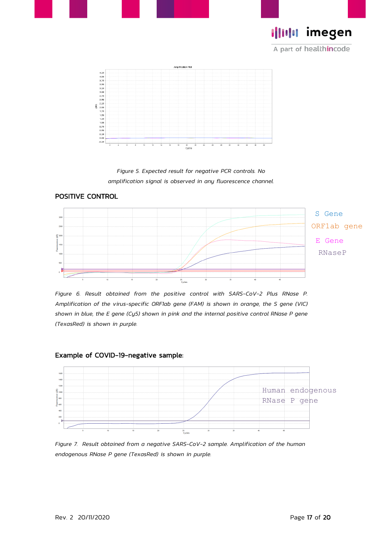



A part of healthincode



*Figure 5. Expected result for negative PCR controls. No amplification signal is observed in any fluorescence channel.*



*Figure 6. Result obtained from the positive control with SARS-CoV-2 Plus RNase P. Amplification of the virus-specific ORF1ab gene (FAM) is shown in orange, the S gene (VIC) shown in blue, the E gene (Cy5) shown in pink and the internal positive control RNase P gene (TexasRed) is shown in purple.*



*Figure 7. Result obtained from a negative SARS-CoV-2 sample. Amplification of the human endogenous RNase P gene (TexasRed) is shown in purple.*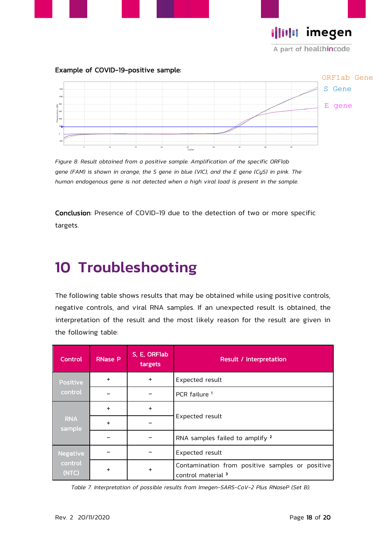**I|IIIII imegen** 

A part of healthincode

#### Example of COVID-19-positive sample:



*Figure 8. Result obtained from a positive sample. Amplification of the specific ORF1ab gene (FAM) is shown in orange, the S gene in blue (VIC), and the E gene (Cy5) in pink. The human endogenous gene is not detected when a high viral load is present in the sample.*

<span id="page-17-0"></span>Conclusion: Presence of COVID-19 due to the detection of two or more specific targets.

## 10 Troubleshooting

The following table shows results that may be obtained while using positive controls, negative controls, and viral RNA samples. If an unexpected result is obtained, the interpretation of the result and the most likely reason for the result are given in the following table:

| Control                             | <b>RNase P</b> | S, E, ORFlab<br>targets | Result / Interpretation                                                          |  |  |
|-------------------------------------|----------------|-------------------------|----------------------------------------------------------------------------------|--|--|
| Positive                            | $+$            | $+$                     | Expected result                                                                  |  |  |
| control                             |                |                         | PCR failure <sup>1</sup>                                                         |  |  |
| <b>RNA</b><br>sample                | $+$            | $+$                     |                                                                                  |  |  |
|                                     | $+$            |                         | Expected result                                                                  |  |  |
|                                     |                |                         | RNA samples failed to amplify 2                                                  |  |  |
| <b>Negative</b><br>control<br>(NTC) |                |                         | Expected result                                                                  |  |  |
|                                     | $\ddot{}$      | ٠                       | Contamination from positive samples or positive<br>control material <sup>3</sup> |  |  |

*Table 7. Interpretation of possible results from Imegen-SARS-CoV-2 Plus RNaseP (Set B).*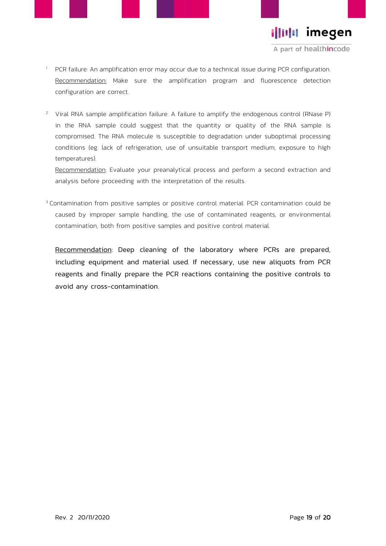

A part of healthincode

- <sup>1</sup> PCR failure: An amplification error may occur due to a technical issue during PCR configuration. Recommendation: Make sure the amplification program and fluorescence detection configuration are correct.
- <sup>2</sup> Viral RNA sample amplification failure: A failure to amplify the endogenous control (RNase P) in the RNA sample could suggest that the quantity or quality of the RNA sample is compromised. The RNA molecule is susceptible to degradation under suboptimal processing conditions (eg. lack of refrigeration, use of unsuitable transport medium, exposure to high temperatures).

Recommendation: Evaluate your preanalytical process and perform a second extraction and analysis before proceeding with the interpretation of the results.

<sup>3</sup> Contamination from positive samples or positive control material: PCR contamination could be caused by improper sample handling, the use of contaminated reagents, or environmental contamination, both from positive samples and positive control material.

Recommendation: Deep cleaning of the laboratory where PCRs are prepared, including equipment and material used. If necessary, use new aliquots from PCR reagents and finally prepare the PCR reactions containing the positive controls to avoid any cross-contamination.